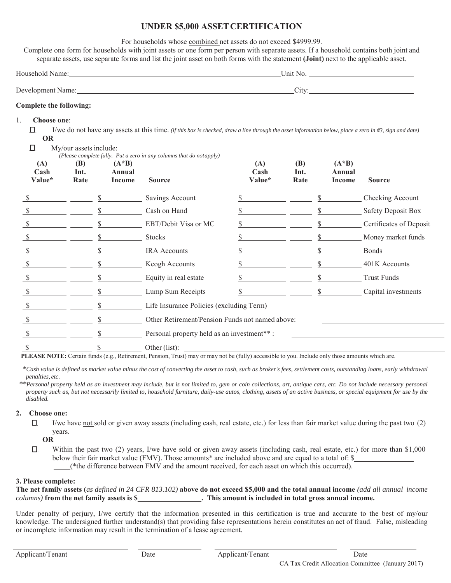## **UNDER \$5,000 ASSETCERTIFICATION**

For households whose combined net assets do not exceed \$4999.99.

Complete one form for households with joint assets or one form per person with separate assets. If a household contains both joint and separate assets, use separate forms and list the joint asset on both forms with the statement **(Joint)** next to the applicable asset.

| Household Name:   | Unit No.                 |  |  |  |
|-------------------|--------------------------|--|--|--|
| Development Name: | $^{\prime}$ 1† $\bar{V}$ |  |  |  |
|                   | ◡ェ                       |  |  |  |

## **Complete the following:**

## 1. **Choose one**:

 $\Box$ I/we do not have any assets at this time. *(if this box is checked, draw a line through the asset information below, place a zero in #3, sign and date)* **OR**

| ,口.                   | My/our assets include: |                               |                                                                                      |                       |                            |                             |                           |
|-----------------------|------------------------|-------------------------------|--------------------------------------------------------------------------------------|-----------------------|----------------------------|-----------------------------|---------------------------|
| (A)<br>Cash<br>Value* | (B)<br>Int.<br>Rate    | $(A * B)$<br>Annual<br>Income | (Please complete fully. Put a zero in any columns that do notapply)<br><b>Source</b> | (A)<br>Cash<br>Value* | <b>(B)</b><br>Int.<br>Rate | $(A*B)$<br>Annual<br>Income | <b>Source</b>             |
|                       |                        |                               | Savings Account                                                                      |                       |                            |                             | Checking Account          |
|                       |                        |                               | Cash on Hand                                                                         |                       |                            |                             | <b>Safety Deposit Box</b> |
| \$                    |                        |                               | EBT/Debit Visa or MC                                                                 |                       |                            |                             | Certificates of Deposit   |
|                       |                        |                               | <b>Stocks</b>                                                                        |                       |                            |                             | Money market funds        |
| S                     |                        |                               | <b>IRA</b> Accounts                                                                  |                       |                            |                             | <b>Bonds</b>              |
| \$                    |                        |                               | Keogh Accounts                                                                       |                       |                            |                             | 401K Accounts             |
| S                     |                        |                               | Equity in real estate                                                                |                       |                            |                             | <b>Trust Funds</b>        |
|                       |                        |                               | Lump Sum Receipts                                                                    |                       |                            |                             | Capital investments       |
| S                     |                        |                               | Life Insurance Policies (excluding Term)                                             |                       |                            |                             |                           |
|                       |                        |                               | Other Retirement/Pension Funds not named above:                                      |                       |                            |                             |                           |
|                       |                        |                               | Personal property held as an investment**:                                           |                       |                            |                             |                           |
| S                     |                        |                               | Other (list):                                                                        |                       |                            |                             |                           |

**PLEASE NOTE:** Certain funds (e.g., Retirement, Pension, Trust) may or may not be (fully) accessible to you. Include only those amounts which are.

*\*Cash value is defined as market value minus the cost of converting the asset to cash, such as broker's fees, settlement costs, outstanding loans, early withdrawal penalties, etc.*

*\*\*Personal property held as an investment may include, but is not limited to, gem or coin collections, art, antique cars, etc. Do not include necessary personal property such as, but not necessarily limited to, household furniture, daily-use autos, clothing, assets of an active business, or special equipment for use by the disabled.*

## **2. Choose one:**

 $\Box$ I/we have not sold or given away assets (including cash, real estate, etc.) for less than fair market value during the past two (2) years.

## **OR**

 $\Box$ Within the past two (2) years, I/we have sold or given away assets (including cash, real estate, etc.) for more than \$1,000 below their fair market value (FMV). Those amounts\* are included above and are equal to a total of: \$ (\*the difference between FMV and the amount received, for each asset on which this occurred).

## **3. Please complete:**

**The net family assets (***as defined in 24 CFR 813.102)* **above do not exceed \$5,000 and the total annual income** *(add all annual income columns*) from the net family assets is \$\_\_\_\_\_\_\_\_\_\_\_\_\_\_\_\_\_\_\_. This amount is included in total gross annual income.

Under penalty of perjury, I/we certify that the information presented in this certification is true and accurate to the best of my/our knowledge. The undersigned further understand(s) that providing false representations herein constitutes an act of fraud. False, misleading or incomplete information may result in the termination of a lease agreement.